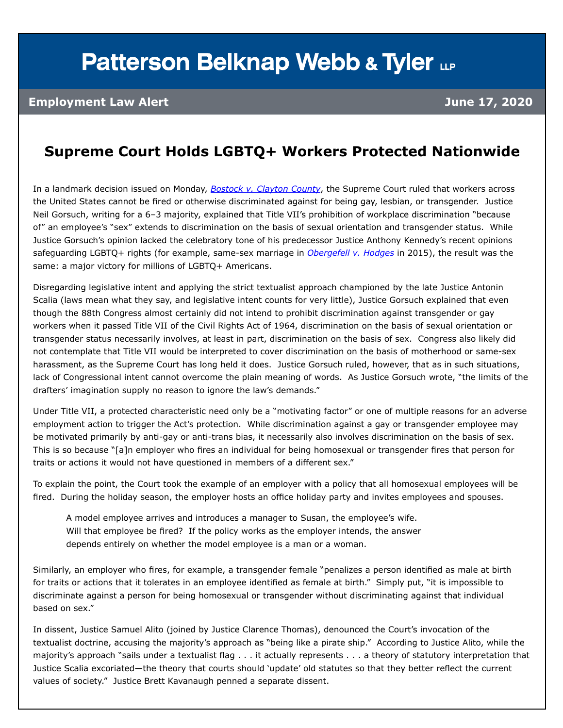## **Patterson Belknap Webb & Tyler LLP**

## **Employment Law Alert June 17, 2020**

## **Supreme Court Holds LGBTQ+ Workers Protected Nationwide**

In a landmark decision issued on Monday, *[Bostock v. Clayton County](https://www.supremecourt.gov/opinions/19pdf/17-1618_hfci.pdf)*, the Supreme Court ruled that workers across the United States cannot be fired or otherwise discriminated against for being gay, lesbian, or transgender. Justice Neil Gorsuch, writing for a 6–3 majority, explained that Title VII's prohibition of workplace discrimination "because of" an employee's "sex" extends to discrimination on the basis of sexual orientation and transgender status. While Justice Gorsuch's opinion lacked the celebratory tone of his predecessor Justice Anthony Kennedy's recent opinions safeguarding LGBTQ+ rights (for example, same-sex marriage in *[Obergefell v. Hodges](https://www.supremecourt.gov/opinions/14pdf/14-556_3204.pdf)* in 2015), the result was the same: a major victory for millions of LGBTQ+ Americans.

Disregarding legislative intent and applying the strict textualist approach championed by the late Justice Antonin Scalia (laws mean what they say, and legislative intent counts for very little), Justice Gorsuch explained that even though the 88th Congress almost certainly did not intend to prohibit discrimination against transgender or gay workers when it passed Title VII of the Civil Rights Act of 1964, discrimination on the basis of sexual orientation or transgender status necessarily involves, at least in part, discrimination on the basis of sex. Congress also likely did not contemplate that Title VII would be interpreted to cover discrimination on the basis of motherhood or same-sex harassment, as the Supreme Court has long held it does. Justice Gorsuch ruled, however, that as in such situations, lack of Congressional intent cannot overcome the plain meaning of words. As Justice Gorsuch wrote, "the limits of the drafters' imagination supply no reason to ignore the law's demands."

Under Title VII, a protected characteristic need only be a "motivating factor" or one of multiple reasons for an adverse employment action to trigger the Act's protection. While discrimination against a gay or transgender employee may be motivated primarily by anti-gay or anti-trans bias, it necessarily also involves discrimination on the basis of sex. This is so because "[a]n employer who fires an individual for being homosexual or transgender fires that person for traits or actions it would not have questioned in members of a different sex."

To explain the point, the Court took the example of an employer with a policy that all homosexual employees will be fired. During the holiday season, the employer hosts an office holiday party and invites employees and spouses.

A model employee arrives and introduces a manager to Susan, the employee's wife. Will that employee be fired? If the policy works as the employer intends, the answer depends entirely on whether the model employee is a man or a woman.

Similarly, an employer who fires, for example, a transgender female "penalizes a person identified as male at birth for traits or actions that it tolerates in an employee identified as female at birth." Simply put, "it is impossible to discriminate against a person for being homosexual or transgender without discriminating against that individual based on sex."

In dissent, Justice Samuel Alito (joined by Justice Clarence Thomas), denounced the Court's invocation of the textualist doctrine, accusing the majority's approach as "being like a pirate ship." According to Justice Alito, while the majority's approach "sails under a textualist flag . . . it actually represents . . . a theory of statutory interpretation that Justice Scalia excoriated—the theory that courts should 'update' old statutes so that they better reflect the current values of society." Justice Brett Kavanaugh penned a separate dissent.